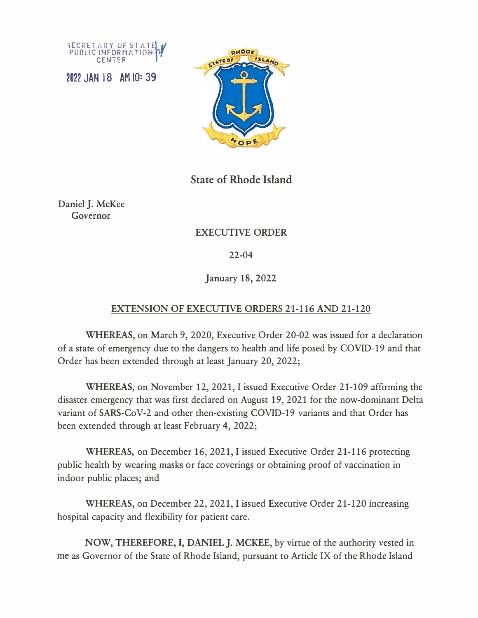

2022 JAN 18 AM IQ: 39



**State of Rhode Island** 

Daniel J. McKee Governor

## EXECUTIVE ORDER

22-04

January 18, 2022

## EXTENSION OF EXECUTIVE ORDERS 21-116 AND 21-120

**WHEREAS,** on March 9, 2020, Executive Order 20-02 was issued for a declaration of a state of emergency due to the dangers to health and life posed by COVID-19 and that Order has been extended through at least January 20, 2022;

**WHEREAS,** on November 12, 2021, I issued Executive Order 21-109 affirming the disaster emergency that was first declared on August 19, 2021 for the now-dominant Delta variant of SARS-CoV-2 and other then-existing COVID-19 variants and that Order has been extended through at least February 4, 2022;

**WHEREAS,** on December 16, 2021, I issued Executive Order 21-116 protecting public health by wearing masks or face coverings or obtaining proof of vaccination in indoor public places; and

**WHEREAS,** on December 22, 2021, I issued Executive Order 21-120 increasing hospital capacity and flexibility for patient care.

**NOW, THEREFORE,** I, **DANIEL J. MCKEE,** by virtue of the authority vested in me as Governor of the State of Rhode Island, pursuant to Article IX of the Rhode Island